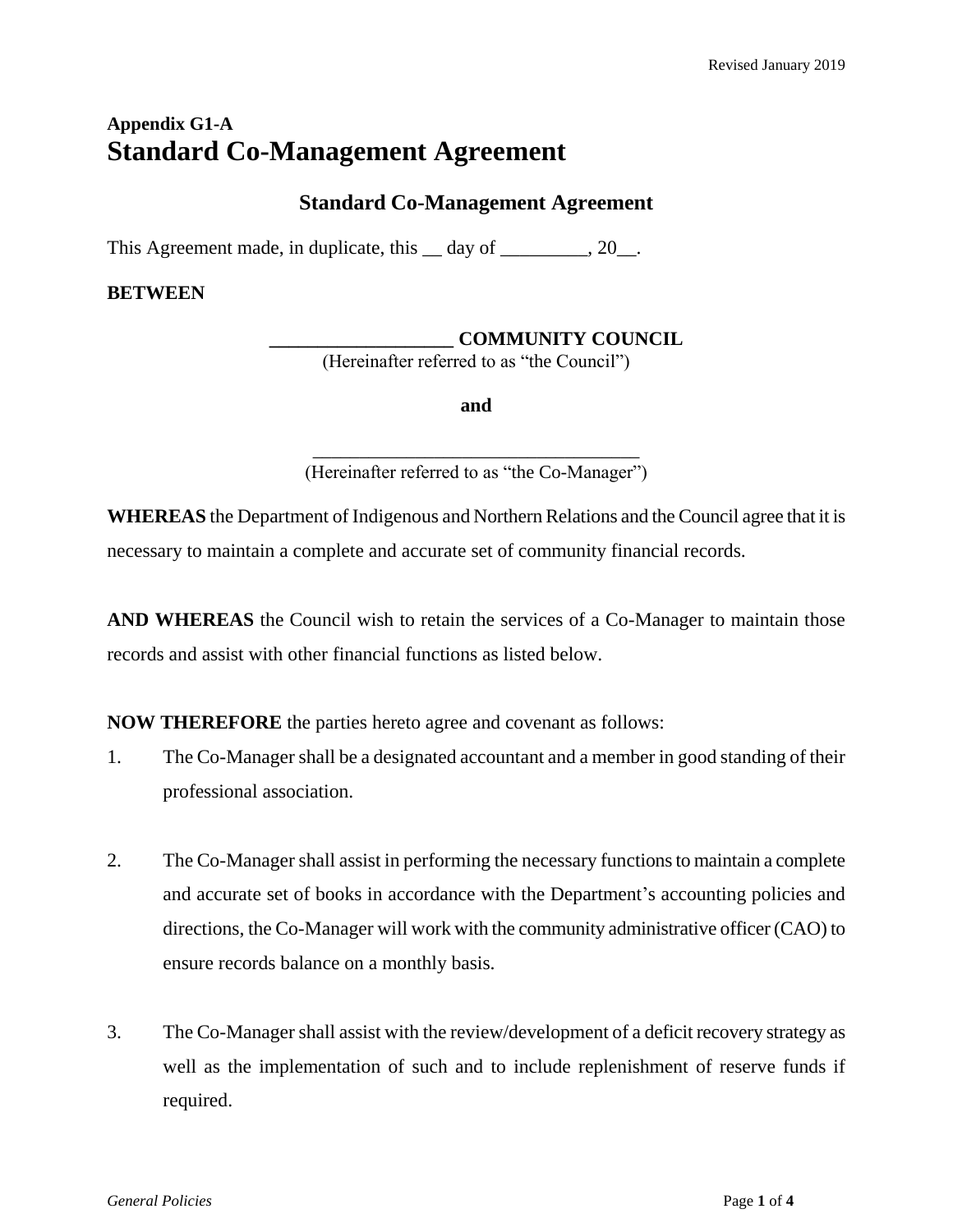# **Appendix G1-A Standard Co-Management Agreement**

### **Standard Co-Management Agreement**

This Agreement made, in duplicate, this  $\_\_$  day of  $\_\_$ , 20 $\_\_$ .

#### **BETWEEN**

**\_\_\_\_\_\_\_\_\_\_\_\_\_\_\_\_\_\_\_ COMMUNITY COUNCIL**

(Hereinafter referred to as "the Council")

**and**

\_\_\_\_\_\_\_\_\_\_\_\_\_\_\_\_\_\_\_\_\_\_\_\_\_\_\_\_\_\_\_\_\_\_\_ (Hereinafter referred to as "the Co-Manager")

**WHEREAS** the Department of Indigenous and Northern Relations and the Council agree that it is necessary to maintain a complete and accurate set of community financial records.

**AND WHEREAS** the Council wish to retain the services of a Co-Manager to maintain those records and assist with other financial functions as listed below.

**NOW THEREFORE** the parties hereto agree and covenant as follows:

- 1. The Co-Manager shall be a designated accountant and a member in good standing of their professional association.
- 2. The Co-Manager shall assist in performing the necessary functions to maintain a complete and accurate set of books in accordance with the Department's accounting policies and directions, the Co-Manager will work with the community administrative officer (CAO) to ensure records balance on a monthly basis.
- 3. The Co-Manager shall assist with the review/development of a deficit recovery strategy as well as the implementation of such and to include replenishment of reserve funds if required.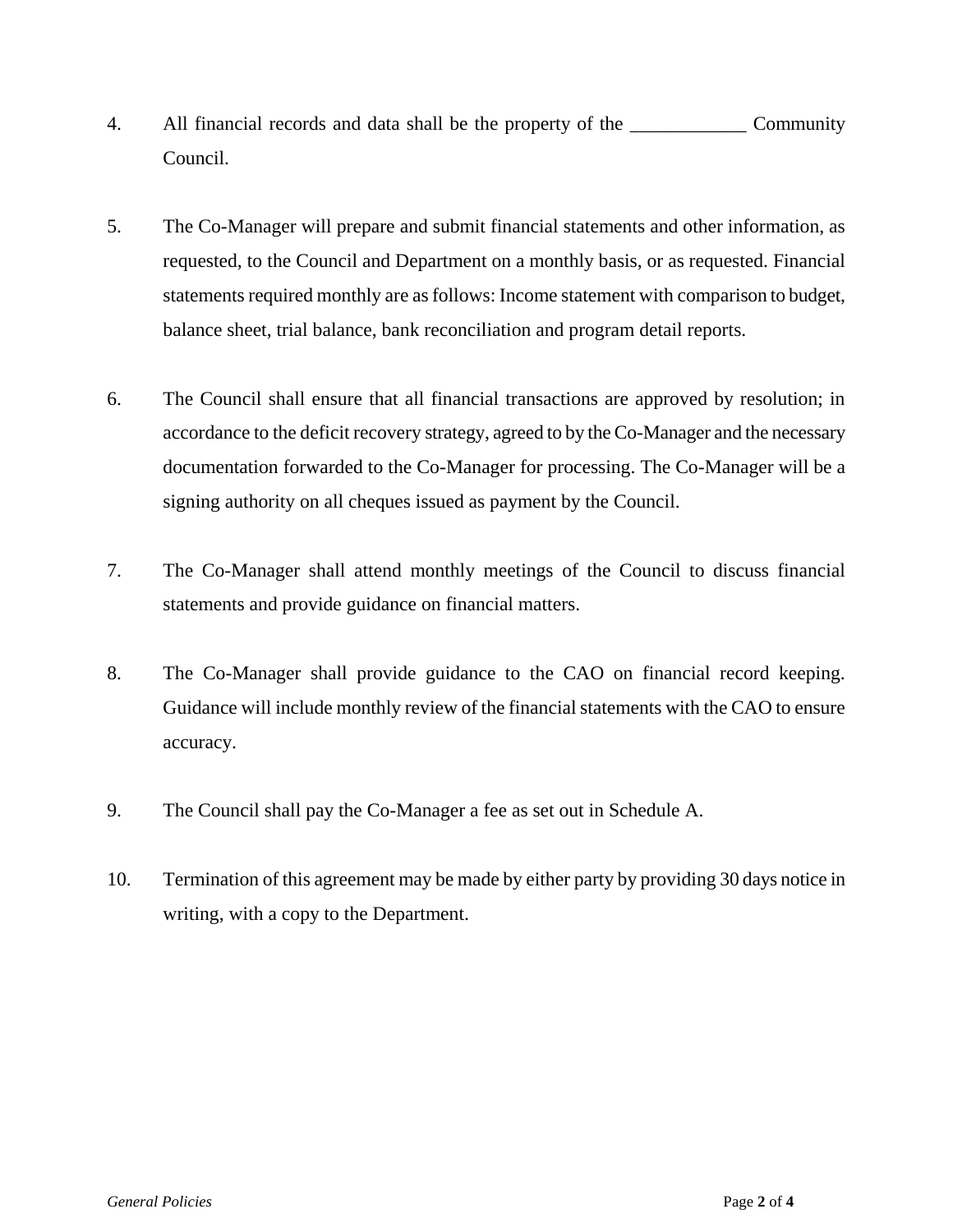- 4. All financial records and data shall be the property of the \_\_\_\_\_\_\_\_\_\_\_\_ Community Council.
- 5. The Co-Manager will prepare and submit financial statements and other information, as requested, to the Council and Department on a monthly basis, or as requested. Financial statements required monthly are as follows: Income statement with comparison to budget, balance sheet, trial balance, bank reconciliation and program detail reports.
- 6. The Council shall ensure that all financial transactions are approved by resolution; in accordance to the deficit recovery strategy, agreed to by the Co-Manager and the necessary documentation forwarded to the Co-Manager for processing. The Co-Manager will be a signing authority on all cheques issued as payment by the Council.
- 7. The Co-Manager shall attend monthly meetings of the Council to discuss financial statements and provide guidance on financial matters.
- 8. The Co-Manager shall provide guidance to the CAO on financial record keeping. Guidance will include monthly review of the financial statements with the CAO to ensure accuracy.
- 9. The Council shall pay the Co-Manager a fee as set out in Schedule A.
- 10. Termination of this agreement may be made by either party by providing 30 days notice in writing, with a copy to the Department.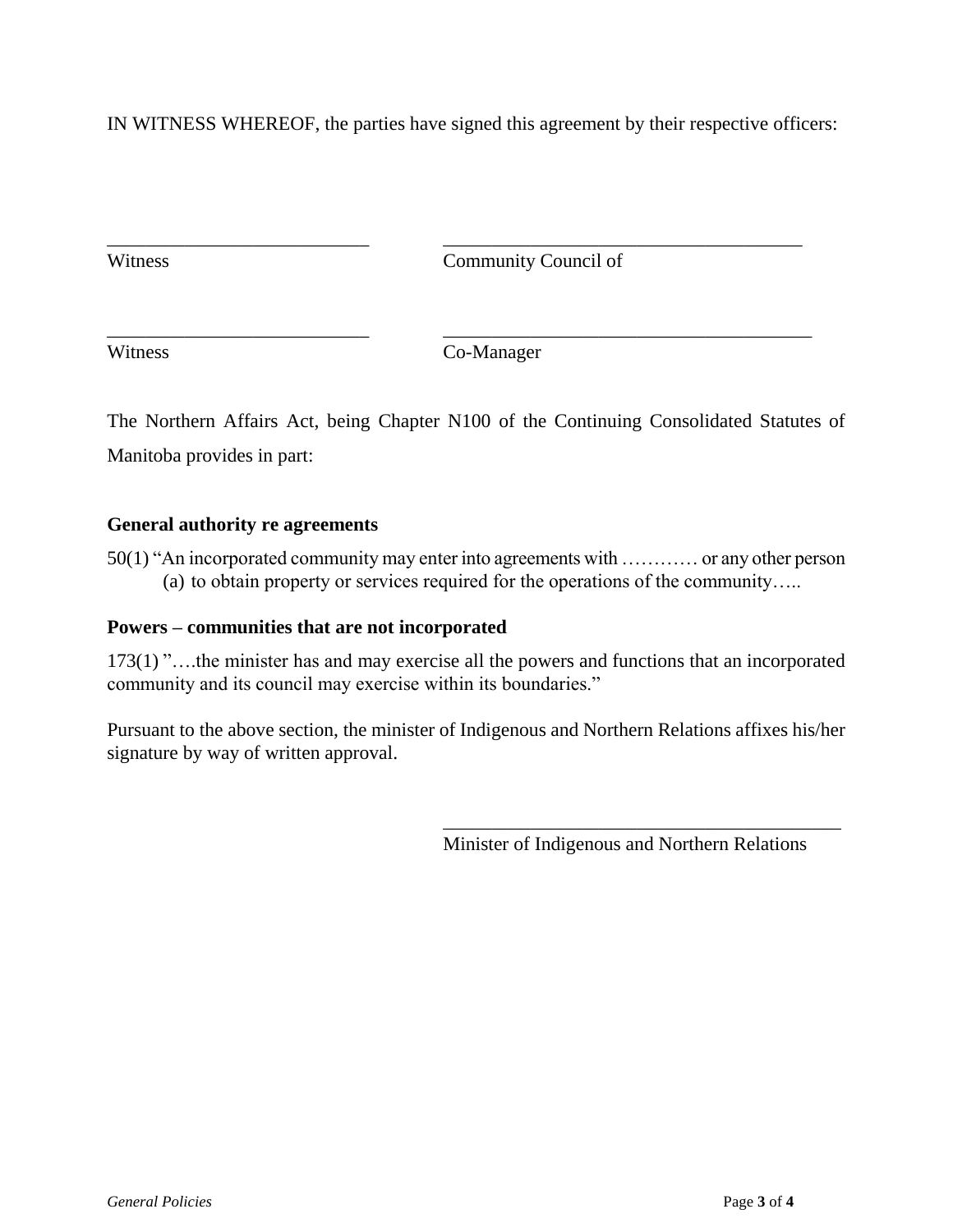IN WITNESS WHEREOF, the parties have signed this agreement by their respective officers:

\_\_\_\_\_\_\_\_\_\_\_\_\_\_\_\_\_\_\_\_\_\_\_\_\_\_\_ \_\_\_\_\_\_\_\_\_\_\_\_\_\_\_\_\_\_\_\_\_\_\_\_\_\_\_\_\_\_\_\_\_\_\_\_\_

\_\_\_\_\_\_\_\_\_\_\_\_\_\_\_\_\_\_\_\_\_\_\_\_\_\_\_ \_\_\_\_\_\_\_\_\_\_\_\_\_\_\_\_\_\_\_\_\_\_\_\_\_\_\_\_\_\_\_\_\_\_\_\_\_\_

Witness Community Council of

Witness Co-Manager

The Northern Affairs Act, being Chapter N100 of the Continuing Consolidated Statutes of Manitoba provides in part:

#### **General authority re agreements**

50(1) "An incorporated community may enter into agreements with ………… or any other person (a) to obtain property or services required for the operations of the community…..

#### **Powers – communities that are not incorporated**

173(1) "….the minister has and may exercise all the powers and functions that an incorporated community and its council may exercise within its boundaries."

Pursuant to the above section, the minister of Indigenous and Northern Relations affixes his/her signature by way of written approval.

Minister of Indigenous and Northern Relations

\_\_\_\_\_\_\_\_\_\_\_\_\_\_\_\_\_\_\_\_\_\_\_\_\_\_\_\_\_\_\_\_\_\_\_\_\_\_\_\_\_